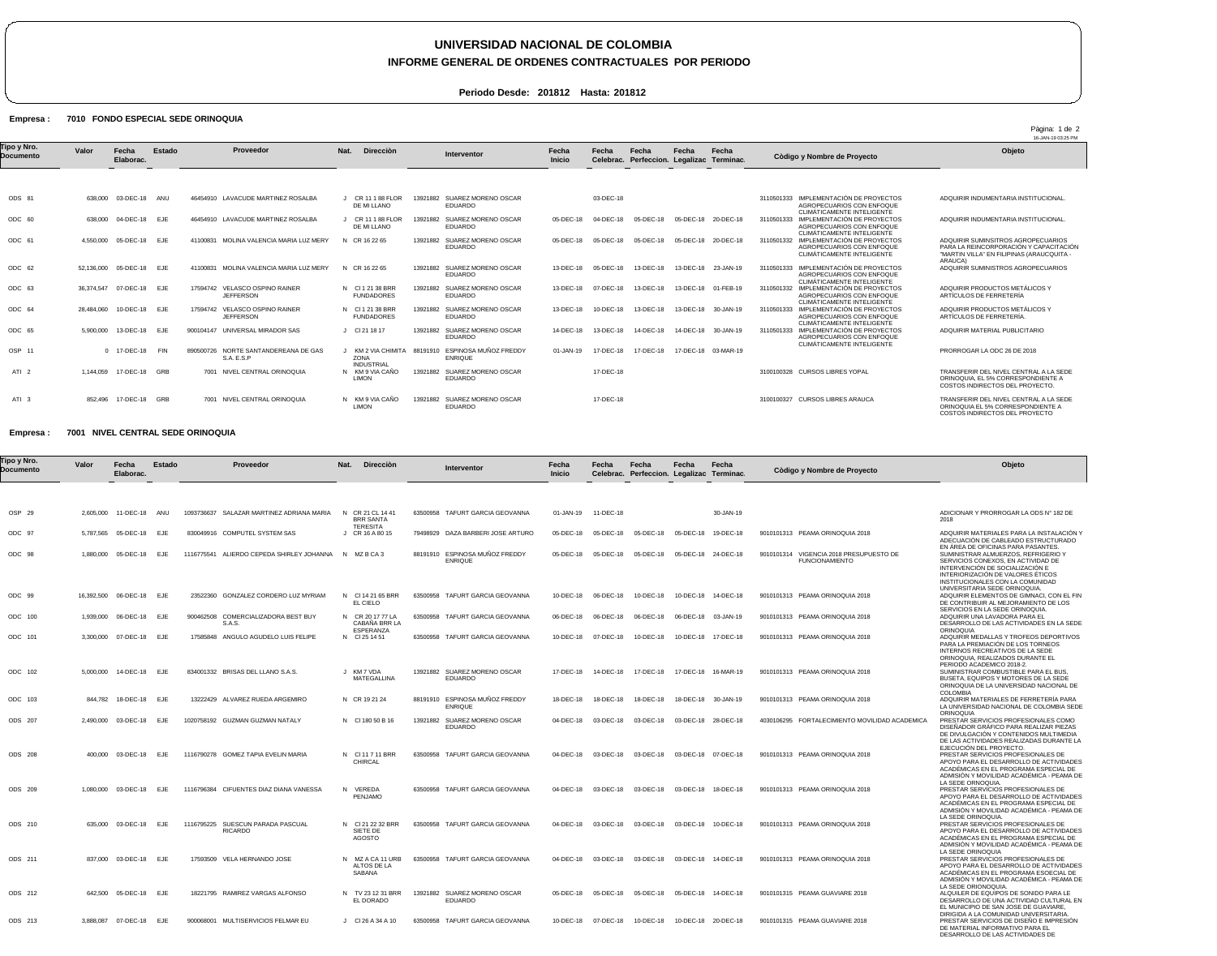# **UNIVERSIDAD NACIONAL DE COLOMBIA**

### **INFORME GENERAL DE ORDENES CONTRACTUALES POR PERIODO**

Pàgina: 1 de 2

**Periodo Desde: 201812 Hasta: 201812**

#### Empresa : 7010 FONDO ESPECIAL SEDE ORINOQUIA

|                          |            |                    |            |                                                    |                                               |          |                                                  |                        |                    |                                          |           |                     |                                                                                                      | 16-JAN-19 03:25 PM                                                                                                                   |
|--------------------------|------------|--------------------|------------|----------------------------------------------------|-----------------------------------------------|----------|--------------------------------------------------|------------------------|--------------------|------------------------------------------|-----------|---------------------|------------------------------------------------------------------------------------------------------|--------------------------------------------------------------------------------------------------------------------------------------|
| Tipo y Nro.<br>Documento | Valor      | Fecha<br>Elaborac. | Estado     | Proveedor                                          | Nat.<br><b>Dirección</b>                      |          | Interventor                                      | Fecha<br><b>Inicio</b> | Fecha<br>Celebrac. | Fecha<br>Perfeccion. Legalizac Terminac. | Fecha     | Fecha               | Còdigo y Nombre de Proyecto                                                                          | Objeto                                                                                                                               |
|                          |            |                    |            |                                                    |                                               |          |                                                  |                        |                    |                                          |           |                     |                                                                                                      |                                                                                                                                      |
| ODS 81                   | 638,000    | 03-DEC-18          | ANU        | 46454910 LAVACUDE MARTINEZ ROSALBA                 | CR 11 1 88 FLOR<br>DE MI LLANO                | 13921882 | SUAREZ MORENO OSCAR<br>EDUARDO                   |                        | 03-DEC-18          |                                          |           |                     | 3110501333 IMPLEMENTACIÓN DE PROYECTOS<br>AGROPECUARIOS CON ENFOQUE<br>CLIMÁTICAMENTE INTELIGENTE    | ADQUIRIR INDUMENTARIA INSTITUCIONAL                                                                                                  |
| ODC 60                   | 638,000    | 04-DEC-18 EJE      |            | 46454910 LAVACUDE MARTINEZ ROSALBA                 | CR 11 1 88 FLOR<br>DE MI LLANO                | 13921882 | SUAREZ MORENO OSCAR<br><b>EDUARDO</b>            | 05-DEC-18              | 04-DEC-18          | 05-DEC-18                                | 05-DEC-18 | 20-DEC-18           | IMPLEMENTACIÓN DE PROYECTOS<br>3110501333<br>AGROPECUARIOS CON ENFOQUE<br>CLIMÁTICAMENTE INTELIGENTE | ADQUIRIR INDUMENTARIA INSTITUCIONAL                                                                                                  |
| ODC 61                   | 4.550.000  | 05-DEC-18 EJE      |            | MOLINA VALENCIA MARIA LUZ MERY<br>41100831         | N CR 16 22 65                                 | 13921882 | SUAREZ MORENO OSCAR<br><b>EDUARDO</b>            | 05-DEC-18              | 05-DEC-18          | 05-DEC-18                                |           | 05-DEC-18 20-DEC-18 | 3110501332 IMPLEMENTACIÓN DE PROYECTOS<br>AGROPECUARIOS CON ENFOQUE<br>CLIMÁTICAMENTE INTELIGENTE    | ADQUIRIR SUMINSITROS AGROPECUARIOS<br>PARA LA REINCORPORACIÓN Y CAPACITACIÓN<br>"MARTIN VILLA" EN FILIPINAS (ARAUCQUITA -<br>ARAUCA) |
| ODC 62                   | 52.136.000 | 05-DEC-18 EJE      |            | MOLINA VALENCIA MARIA LUZ MERY<br>41100831         | N CR 16 22 65                                 | 13921882 | SUAREZ MORENO OSCAR<br><b>EDUARDO</b>            | 13-DEC-18              | 05-DEC-18          | 13-DEC-18                                |           | 13-DEC-18 23-JAN-19 | IMPLEMENTACIÓN DE PROYECTOS<br>3110501333<br>AGROPECUARIOS CON ENFOQUE<br>CLIMÁTICAMENTE INTELIGENTE | ADQUIRIR SUMINISTROS AGROPECUARIOS                                                                                                   |
| ODC 63                   | 36.374.547 | 07-DEC-18 EJE      |            | 17594742 VELASCO OSPINO RAINER<br><b>JEFFERSON</b> | N CI 1 21 38 BRR<br><b>FUNDADORES</b>         | 13921882 | SUAREZ MORENO OSCAR<br><b>EDUARDO</b>            | 13-DEC-18              | 07-DEC-18          | 13-DEC-18                                |           | 13-DEC-18 01-FEB-19 | 3110501332 IMPLEMENTACIÓN DE PROYECTOS<br>AGROPECUARIOS CON ENFOQUE<br>CLIMÁTICAMENTE INTELIGENTE    | ADQUIRIR PRODUCTOS METÁLICOS Y<br>ARTÍCULOS DE FERRETERÍA                                                                            |
| ODC 64                   | 28.484.060 | 10-DEC-18 EJE      |            | 17594742 VELASCO OSPINO RAINER<br><b>JEFFERSON</b> | N CI 1 21 38 BRR<br><b>FUNDADORES</b>         | 13921882 | SUAREZ MORENO OSCAR<br><b>EDUARDO</b>            | 13-DEC-18              | 10-DEC-18          | 13-DEC-18                                |           | 13-DEC-18 30-JAN-19 | IMPLEMENTACIÓN DE PROYECTOS<br>3110501333<br>AGROPECUARIOS CON ENFOQUE<br>CLIMÁTICAMENTE INTELIGENTE | ADQUIRIR PRODUCTOS METÁLICOS Y<br>ARTÍCULOS DE FERRETERÍA.                                                                           |
| ODC 65                   | 5.900.000  | 13-DEC-18          | <b>EJE</b> | UNIVERSAL MIRADOR SAS<br>900104147                 | CI 21 18 17                                   | 13921882 | SUAREZ MORENO OSCAR<br><b>EDUARDO</b>            | 14-DEC-18              | 13-DEC-18          | 14-DEC-18                                |           | 14-DEC-18 30-JAN-19 | IMPLEMENTACIÓN DE PROYECTOS<br>3110501333<br>AGROPECUARIOS CON ENFOQUE<br>CLIMÁTICAMENTE INTELIGENTE | ADQUIRIR MATERIAL PUBLICITARIO                                                                                                       |
| OSP 11                   |            | 0 17-DEC-18 FIN    |            | 890500726 NORTE SANTANDEREANA DE GAS<br>S.A. E.S.P | KM 2 VIA CHIMITA<br>ZONA<br><b>INDUSTRIAL</b> |          | 88191910 ESPINOSA MUÑOZ FREDDY<br><b>ENRIQUE</b> | 01-JAN-19              | 17-DEC-18          | 17-DEC-18                                |           | 17-DEC-18 03-MAR-19 |                                                                                                      | PRORROGAR LA ODC 26 DE 2018                                                                                                          |
| ATI <sub>2</sub>         | 1.144.059  | 17-DEC-18 GRB      |            | 7001 NIVEL CENTRAL ORINOQUIA                       | N KM 9 VIA CAÑO<br><b>LIMON</b>               | 13921882 | SUAREZ MORENO OSCAR<br><b>EDUARDO</b>            |                        | 17-DEC-18          |                                          |           |                     | 3100100328 CURSOS LIBRES YOPAL                                                                       | TRANSFERIR DEL NIVEL CENTRAL A LA SEDE<br>ORINOQUIA, EL 5% CORRESPONDIENTE A<br>COSTOS INDIRECTOS DEL PROYECTO.                      |
| ATI <sub>3</sub>         | 852.496    | 17-DEC-18 GRB      |            | 7001 NIVEL CENTRAL ORINOQUIA                       | N KM 9 VIA CAÑO<br><b>LIMON</b>               | 13921882 | SUAREZ MORENO OSCAR<br><b>EDUARDO</b>            |                        | 17-DEC-18          |                                          |           |                     | 3100100327 CURSOS LIBRES ARAUCA                                                                      | TRANSFERIR DEL NIVEL CENTRAL A LA SEDE<br>ORINOQUIA EL 5% CORRESPONDIENTE A<br>COSTOS INDIRECTOS DEL PROYECTO                        |

#### Empresa : 7001 NIVEL CENTRAL SEDE ORINOQUIA

| Γipo y Nro.<br>Documento | Valor   | Fecha<br>Elaborac.    | <b>Estado</b> | Proveedor                                           | Nat. | <b>Dirección</b>                                      | Interventor                                      | Fecha<br><b>Inicio</b> | Fecha               | Fecha<br>Celebrac. Perfeccion. Legalizac Terminac. | Fecha     | Fecha               | Còdigo y Nombre de Proyecto                                      | Objeto                                                                                                                                                                                                                                                       |
|--------------------------|---------|-----------------------|---------------|-----------------------------------------------------|------|-------------------------------------------------------|--------------------------------------------------|------------------------|---------------------|----------------------------------------------------|-----------|---------------------|------------------------------------------------------------------|--------------------------------------------------------------------------------------------------------------------------------------------------------------------------------------------------------------------------------------------------------------|
|                          |         |                       |               |                                                     |      |                                                       |                                                  |                        |                     |                                                    |           |                     |                                                                  |                                                                                                                                                                                                                                                              |
| OSP 29                   |         | 2,605,000 11-DEC-18   | ANU           | 1093736637 SALAZAR MARTINEZ ADRIANA MARIA           |      | N CR 21 CL 14 41<br><b>BRR SANTA</b>                  | 63500958 TAFURT GARCIA GEOVANNA                  | 01-JAN-19              | 11-DEC-18           |                                                    |           | 30-JAN-19           |                                                                  | ADICIONAR Y PRORROGAR LA ODS Nº 182 DE<br>2018                                                                                                                                                                                                               |
| ODC 97                   |         | 5,787,565 05-DEC-18   | EJE           | 830049916 COMPUTEL SYSTEM SAS                       |      | <b>TERESITA</b><br>J CR 16 A 80 15                    | 79498929 DAZA BARBERI JOSE ARTURO                | 05-DEC-18              | 05-DEC-18           | 05-DEC-18                                          | 05-DEC-18 | 19-DEC-18           | 9010101313 PEAMA ORINOQUIA 2018                                  | ADQUIRIR MATERIALES PARA LA INSTALACIÓN Y<br>ADECUACIÓN DE CABLEADO ESTRUCTURADO                                                                                                                                                                             |
| ODC 98                   |         | 1,880,000 05-DEC-18   | <b>EJE</b>    | 1116775541 ALIERDO CEPEDA SHIRLEY JOHANNA           |      | N MZBCA3                                              | 88191910 ESPINOSA MUÑOZ FREDDY<br><b>ENRIQUE</b> | 05-DEC-18              | 05-DEC-18           | 05-DEC-18                                          |           | 05-DEC-18 24-DEC-18 | 9010101314 VIGENCIA 2018 PRESUPUESTO DE<br><b>FUNCIONAMIENTO</b> | EN ÁREA DE OFICINAS PARA PASANTES.<br>SUMINISTRAR ALMUERZOS, REFRIGERIO Y<br>SERVICIOS CONEXOS, EN ACTIVIDAD DE<br>INTERVENCIÓN DE SOCIALIZACIÓN E<br>INTERIORIZACIÓN DE VALORES ÉTICOS<br>INSTITUCIONALES CON LA COMUNIDAD<br>UNIVERSITARIA SEDE ORINOQUIA. |
| ODC 99                   |         | 16.392.500 06-DEC-18  | EJE           | 23522360 GONZALEZ CORDERO LUZ MYRIAM                |      | N CI 14 21 65 BRR<br>EL CIELO                         | 63500958 TAFURT GARCIA GEOVANNA                  | 10-DEC-18              | 06-DEC-18           | 10-DEC-18                                          | 10-DEC-18 | 14-DEC-18           | 9010101313 PEAMA ORINOQUIA 2018                                  | ADQUIRIR ELEMENTOS DE GIMNACI. CON EL FIN<br>DE CONTRIBUIR AL MEJORAMIENTO DE LOS<br>SERVICIOS EN LA SEDE ORINOQUIA.                                                                                                                                         |
| ODC 100                  |         | 1,939,000 06-DEC-18   | EJE           | 900462508 COMERCIALIZADORA BEST BUY<br>S.A.S.       |      | N CR 20 17 77 LA<br>CABAÑA BRR LA<br><b>ESPERANZA</b> | 63500958 TAFURT GARCIA GEOVANNA                  | 06-DEC-18              | 06-DEC-18           | 06-DEC-18                                          | 06-DEC-18 | 03-JAN-19           | 9010101313 PEAMA ORINOQUIA 2018                                  | ADQUIRIR UNA LAVADORA PARA EL<br>DESARROLLO DE LAS ACTIVIDADES EN LA SEDE<br>ORINOQUIA                                                                                                                                                                       |
| ODC 101                  |         | 3,300,000 07-DEC-18   | <b>EJE</b>    | 17585848 ANGULO AGUDELO LUIS FELIPE                 |      | N CI 25 14 51                                         | 63500958 TAFURT GARCIA GEOVANNA                  | 10-DEC-18              | 07-DEC-18           | 10-DEC-18                                          |           | 10-DEC-18 17-DEC-18 | 9010101313 PEAMA ORINOQUIA 2018                                  | ADQUIRIR MEDALLAS Y TROFEOS DEPORTIVOS<br>PARA LA PREMIACIÓN DE LOS TORNEOS<br>INTERNOS RECREATIVOS DE LA SEDE<br>ORINOQUIA, REALIZADOS DURANTE EL                                                                                                           |
| ODC 102                  |         | 5,000,000 14-DEC-18   | EJE           | 834001332 BRISAS DEL LLANO S.A.S.                   |      | J KM7 VDA<br>MATEGALLINA                              | 13921882 SUAREZ MORENO OSCAR<br><b>EDUARDO</b>   | 17-DEC-18              | 14-DEC-18           | 17-DEC-18                                          |           | 17-DEC-18 16-MAR-19 | 9010101313 PEAMA ORINOQUIA 2018                                  | PERIODO ACADEMICO 2018-2.<br>SUMINISTRAR COMBUSTIBLE PARA EL BUS.<br>BUSETA, EQUIPOS Y MOTORES DE LA SEDE<br>ORINOQUIA DE LA UNIVERSIDAD NACIONAL DE                                                                                                         |
| ODC 103                  | 844.782 | 18-DEC-18             | EJE           | 13222429 ALVAREZ RUEDA ARGEMIRO                     |      | N CR 19 21 24                                         | 88191910 ESPINOSA MUÑOZ FREDDY<br><b>ENRIQUE</b> | 18-DEC-18              | 18-DEC-18           | 18-DEC-18                                          | 18-DEC-18 | 30-JAN-19           | 9010101313 PEAMA ORINOQUIA 2018                                  | COLOMBIA<br>ADQUIRIR MATERIALES DE FERRETERÍA PARA<br>LA UNIVERSIDAD NACIONAL DE COLOMBIA SEDE                                                                                                                                                               |
| ODS 207                  |         | 2,490,000 03-DEC-18   | EJE           | 1020758192 GUZMAN GUZMAN NATALY                     |      | N CI 180 50 B 16                                      | 13921882 SUAREZ MORENO OSCAR<br><b>EDUARDO</b>   | 04-DEC-18              | 03-DEC-18           | 03-DEC-18                                          |           | 03-DEC-18 28-DEC-18 | 4030106295 FORTALECIMIENTO MOVILIDAD ACADEMICA                   | ORINOQUIA<br>PRESTAR SERVICIOS PROFESIONALES COMO<br>DISEÑADOR GRÁFICO PARA REALIZAR PIEZAS<br>DE DIVULGACIÓN Y CONTENIDOS MULTIMEDIA<br>DE LAS ACTIVIDADES REALIZADAS DURANTE LA                                                                            |
| <b>ODS 208</b>           |         | 400,000 03-DEC-18 EJE |               | 1116790278 GOMEZ TAPIA EVELIN MARIA                 |      | N CI 11 7 11 BRR<br>CHIRCAL                           | 63500958 TAFURT GARCIA GEOVANNA                  | 04-DEC-18              | 03-DEC-18           | 03-DEC-18                                          |           | 03-DEC-18 07-DEC-18 | 9010101313 PEAMA ORINOQUIA 2018                                  | EJECUCIÓN DEL PROYECTO.<br>PRESTAR SERVICIOS PROFESIONALES DE<br>APOYO PARA EL DESARROLLO DE ACTIVIDADES<br>ACADÉMICAS EN EL PROGRAMA ESPECIAL DE<br>ADMISIÓN Y MOVILIDAD ACADÉMICA - PEAMA DE                                                               |
| ODS 209                  |         | 1.080.000 03-DEC-18   | EJE.          | 1116796384 CIFUENTES DIAZ DIANA VANESSA             |      | N VEREDA<br>PENJAMO                                   | 63500958 TAFURT GARCIA GEOVANNA                  | 04-DEC-18              | 03-DEC-18           | 03-DEC-18                                          | 03-DEC-18 | 18-DEC-18           | 9010101313 PEAMA ORINOQUIA 2018                                  | LA SEDE ORNOQUIA.<br>PRESTAR SERVICIOS PROFESIONALES DE<br>APOYO PARA EL DESARROLLO DE ACTIVIDADES<br>ACADÉMICAS EN EL PROGRAMA ESPECIAL DE<br>ADMISIÓN Y MOVILIDAD ACADÉMICA - PEAMA DE                                                                     |
| ODS 210                  |         | 635,000 03-DEC-18 EJE |               | 1116795225 SUESCUN PARADA PASCUAL<br><b>RICARDO</b> |      | N CI 21 22 32 BRR<br>SIETE DE<br>AGOSTO               | 63500958 TAFURT GARCIA GEOVANNA                  |                        | 04-DEC-18 03-DEC-18 | 03-DEC-18                                          |           | 03-DEC-18 10-DEC-18 | 9010101313 PEAMA ORINOQUIA 2018                                  | LA SEDE ORINOQUIA.<br>PRESTAR SERVICIOS PROFESIONALES DE<br>APOYO PARA EL DESARROLLO DE ACTIVIDADES<br>ACADÉMICAS EN EL PROGRAMA ESPECIAL DE<br>ADMISIÓN Y MOVILIDAD ACADÉMICA - PEAMA DE                                                                    |
| ODS 211                  |         | 837,000 03-DEC-18     | EJE           | 17593509 VELA HERNANDO JOSE                         |      | N MZ A CA 11 URB<br>ALTOS DE LA<br>SABANA             | 63500958 TAFURT GARCIA GEOVANNA                  | 04-DEC-18              | 03-DEC-18           | 03-DEC-18                                          |           | 03-DEC-18 14-DEC-18 | 9010101313 PEAMA ORINOQUIA 2018                                  | LA SEDE ORINOQUIA<br>PRESTAR SERVICIOS PROFESIONALES DE<br>APOYO PARA EL DESARROLLO DE ACTIVIDADES<br>ACADÉMICAS EN EL PROGRAMA ESOECIAL DE<br>ADMISIÓN Y MOVILIDAD ACADÉMICA - PEAMA DE                                                                     |
| ODS 212                  |         | 642,500 05-DEC-18     | EJE           | 18221795 RAMIREZ VARGAS ALFONSO                     |      | N TV 23 12 31 BRR<br>EL DORADO                        | 13921882 SUAREZ MORENO OSCAR<br><b>EDUARDO</b>   | 05-DEC-18              | 05-DEC-18           | 05-DEC-18                                          | 05-DEC-18 | 14-DEC-18           | 9010101315 PEAMA GUAVIARE 2018                                   | LA SEDE ORIONOQUIA.<br>ALQUILER DE EQUIPOS DE SONIDO PARA LE<br>DESARROLLO DE UNA ACTIVIDAD CULTURAL EN<br>EL MUNICIPIO DE SAN JOSE DE GUAVIARE,                                                                                                             |
| ODS 213                  |         | 3,888,087 07-DEC-18   | EJE           | 900068001 MULTISERVICIOS FELMAR EU                  |      | J CI 26 A 34 A 10                                     | 63500958 TAFURT GARCIA GEOVANNA                  | 10-DEC-18              | 07-DEC-18           | 10-DEC-18                                          |           | 10-DEC-18 20-DEC-18 | 9010101315 PEAMA GUAVIARE 2018                                   | DIRIGIDA A LA COMUNIDAD UNIVERSITARIA.<br>PRESTAR SERVICIOS DE DISEÑO E IMPRESIÓN<br>DE MATERIAL INFORMATIVO PARA EL<br>DESARROLLO DE LAS ACTIVIDADES DE                                                                                                     |